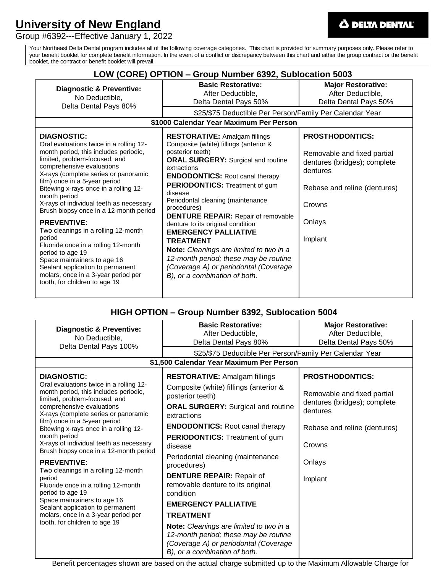# **University of New England**

Group #6392---Effective January 1, 2022

Your Northeast Delta Dental program includes all of the following coverage categories. This chart is provided for summary purposes only. Please refer to your benefit booklet for complete benefit information. In the event of a conflict or discrepancy between this chart and either the group contract or the benefit booklet, the contract or benefit booklet will prevail.

| LOW (CORE) OPTION - Group Number 6392, Sublocation 5003                                                                                                                                                                                                                                                                                                                                                                                                                                                                                                                                                                                                                  |                                                                                                                                                                                                                                                                                                                                                                                                                                                                                                                                                                                                                      |                                                                                                                                                                  |  |
|--------------------------------------------------------------------------------------------------------------------------------------------------------------------------------------------------------------------------------------------------------------------------------------------------------------------------------------------------------------------------------------------------------------------------------------------------------------------------------------------------------------------------------------------------------------------------------------------------------------------------------------------------------------------------|----------------------------------------------------------------------------------------------------------------------------------------------------------------------------------------------------------------------------------------------------------------------------------------------------------------------------------------------------------------------------------------------------------------------------------------------------------------------------------------------------------------------------------------------------------------------------------------------------------------------|------------------------------------------------------------------------------------------------------------------------------------------------------------------|--|
| <b>Diagnostic &amp; Preventive:</b><br>No Deductible,<br>Delta Dental Pays 80%                                                                                                                                                                                                                                                                                                                                                                                                                                                                                                                                                                                           | <b>Basic Restorative:</b><br>After Deductible,<br>Delta Dental Pays 50%<br>\$25/\$75 Deductible Per Person/Family Per Calendar Year                                                                                                                                                                                                                                                                                                                                                                                                                                                                                  | <b>Major Restorative:</b><br>After Deductible,<br>Delta Dental Pays 50%                                                                                          |  |
| \$1000 Calendar Year Maximum Per Person                                                                                                                                                                                                                                                                                                                                                                                                                                                                                                                                                                                                                                  |                                                                                                                                                                                                                                                                                                                                                                                                                                                                                                                                                                                                                      |                                                                                                                                                                  |  |
| <b>DIAGNOSTIC:</b><br>Oral evaluations twice in a rolling 12-<br>month period, this includes periodic,<br>limited, problem-focused, and<br>comprehensive evaluations<br>X-rays (complete series or panoramic<br>film) once in a 5-year period<br>Bitewing x-rays once in a rolling 12-<br>month period<br>X-rays of individual teeth as necessary<br>Brush biopsy once in a 12-month period<br><b>PREVENTIVE:</b><br>Two cleanings in a rolling 12-month<br>period<br>Fluoride once in a rolling 12-month<br>period to age 19<br>Space maintainers to age 16<br>Sealant application to permanent<br>molars, once in a 3-year period per<br>tooth, for children to age 19 | <b>RESTORATIVE: Amalgam fillings</b><br>Composite (white) fillings (anterior &<br>posterior teeth)<br><b>ORAL SURGERY:</b> Surgical and routine<br>extractions<br><b>ENDODONTICS:</b> Root canal therapy<br><b>PERIODONTICS:</b> Treatment of gum<br>disease<br>Periodontal cleaning (maintenance<br>procedures)<br><b>DENTURE REPAIR: Repair of removable</b><br>denture to its original condition<br><b>EMERGENCY PALLIATIVE</b><br><b>TREATMENT</b><br>Note: Cleanings are limited to two in a<br>12-month period; these may be routine<br>(Coverage A) or periodontal (Coverage<br>B), or a combination of both. | <b>PROSTHODONTICS:</b><br>Removable and fixed partial<br>dentures (bridges); complete<br>dentures<br>Rebase and reline (dentures)<br>Crowns<br>Onlays<br>Implant |  |

# **HIGH OPTION – Group Number 6392, Sublocation 5004**

| <b>Diagnostic &amp; Preventive:</b><br>No Deductible,<br>Delta Dental Pays 100%                                                                                                                                                                                                                                                                                                                                                                                                                                                                                                                                                                                          | <b>Basic Restorative:</b><br>After Deductible,<br>Delta Dental Pays 80%                                                                                                                                                                                                                                                                                                                                                                                                                                                                          | <b>Major Restorative:</b><br>After Deductible,<br>Delta Dental Pays 50%                                                                                          |  |
|--------------------------------------------------------------------------------------------------------------------------------------------------------------------------------------------------------------------------------------------------------------------------------------------------------------------------------------------------------------------------------------------------------------------------------------------------------------------------------------------------------------------------------------------------------------------------------------------------------------------------------------------------------------------------|--------------------------------------------------------------------------------------------------------------------------------------------------------------------------------------------------------------------------------------------------------------------------------------------------------------------------------------------------------------------------------------------------------------------------------------------------------------------------------------------------------------------------------------------------|------------------------------------------------------------------------------------------------------------------------------------------------------------------|--|
| \$25/\$75 Deductible Per Person/Family Per Calendar Year                                                                                                                                                                                                                                                                                                                                                                                                                                                                                                                                                                                                                 |                                                                                                                                                                                                                                                                                                                                                                                                                                                                                                                                                  |                                                                                                                                                                  |  |
| <b>DIAGNOSTIC:</b><br>Oral evaluations twice in a rolling 12-<br>month period, this includes periodic,<br>limited, problem-focused, and<br>comprehensive evaluations<br>X-rays (complete series or panoramic<br>film) once in a 5-year period<br>Bitewing x-rays once in a rolling 12-<br>month period<br>X-rays of individual teeth as necessary<br>Brush biopsy once in a 12-month period<br><b>PREVENTIVE:</b><br>Two cleanings in a rolling 12-month<br>period<br>Fluoride once in a rolling 12-month<br>period to age 19<br>Space maintainers to age 16<br>Sealant application to permanent<br>molars, once in a 3-year period per<br>tooth, for children to age 19 | \$1,500 Calendar Year Maximum Per Person<br><b>RESTORATIVE: Amalgam fillings</b><br>Composite (white) fillings (anterior &<br>posterior teeth)<br><b>ORAL SURGERY: Surgical and routine</b><br>extractions<br><b>ENDODONTICS:</b> Root canal therapy<br><b>PERIODONTICS:</b> Treatment of gum<br>disease<br>Periodontal cleaning (maintenance<br>procedures)<br><b>DENTURE REPAIR: Repair of</b><br>removable denture to its original<br>condition<br><b>EMERGENCY PALLIATIVE</b><br><b>TREATMENT</b><br>Note: Cleanings are limited to two in a | <b>PROSTHODONTICS:</b><br>Removable and fixed partial<br>dentures (bridges); complete<br>dentures<br>Rebase and reline (dentures)<br>Crowns<br>Onlays<br>Implant |  |
|                                                                                                                                                                                                                                                                                                                                                                                                                                                                                                                                                                                                                                                                          | 12-month period; these may be routine<br>(Coverage A) or periodontal (Coverage<br>B), or a combination of both.                                                                                                                                                                                                                                                                                                                                                                                                                                  |                                                                                                                                                                  |  |

Benefit percentages shown are based on the actual charge submitted up to the Maximum Allowable Charge for